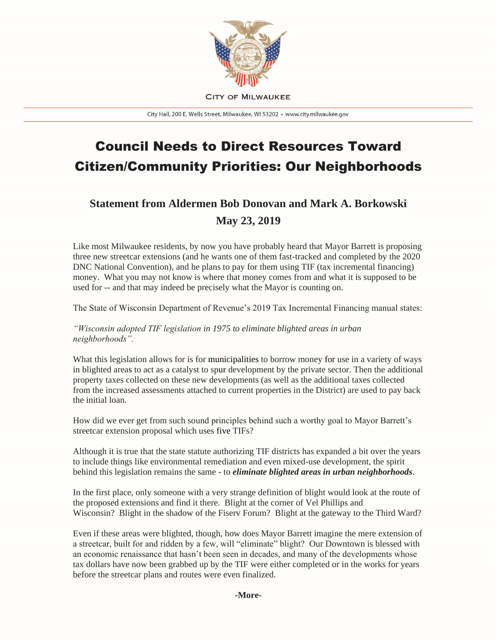

**CITY OF MILWAUKEE** 

City Hall, 200 E. Wells Street, Milwaukee, WI 53202 · www.city.milwaukee.gov

## Council Needs to Direct Resources Toward Citizen/Community Priorities: Our Neighborhoods

## **Statement from Aldermen Bob Donovan and Mark A. Borkowski May 23, 2019**

Like most Milwaukee residents, by now you have probably heard that Mayor Barrett is proposing three new streetcar extensions (and he wants one of them fast-tracked and completed by the 2020 DNC National Convention), and he plans to pay for them using TIF (tax incremental financing) money. What you may not know is where that money comes from and what it is supposed to be used for -- and that may indeed be precisely what the Mayor is counting on.

The State of Wisconsin Department of Revenue's 2019 Tax Incremental Financing manual states:

*"Wisconsin adopted TIF legislation in 1975 to eliminate blighted areas in urban neighborhoods".*

What this legislation allows for is for municipalities to borrow money for use in a variety of ways in blighted areas to act as a catalyst to spur development by the private sector. Then the additional property taxes collected on these new developments (as well as the additional taxes collected from the increased assessments attached to current properties in the District) are used to pay back the initial loan.

How did we ever get from such sound principles behind such a worthy goal to Mayor Barrett's streetcar extension proposal which uses five TIFs?

Although it is true that the state statute authorizing TIF districts has expanded a bit over the years to include things like environmental remediation and even mixed-use development, the spirit behind this legislation remains the same - to *eliminate blighted areas in urban neighborhoods*.

In the first place, only someone with a very strange definition of blight would look at the route of the proposed extensions and find it there. Blight at the corner of Vel Phillips and Wisconsin? Blight in the shadow of the Fiserv Forum? Blight at the gateway to the Third Ward?

Even if these areas were blighted, though, how does Mayor Barrett imagine the mere extension of a streetcar, built for and ridden by a few, will "eliminate" blight? Our Downtown is blessed with an economic renaissance that hasn't been seen in decades, and many of the developments whose tax dollars have now been grabbed up by the TIF were either completed or in the works for years before the streetcar plans and routes were even finalized.